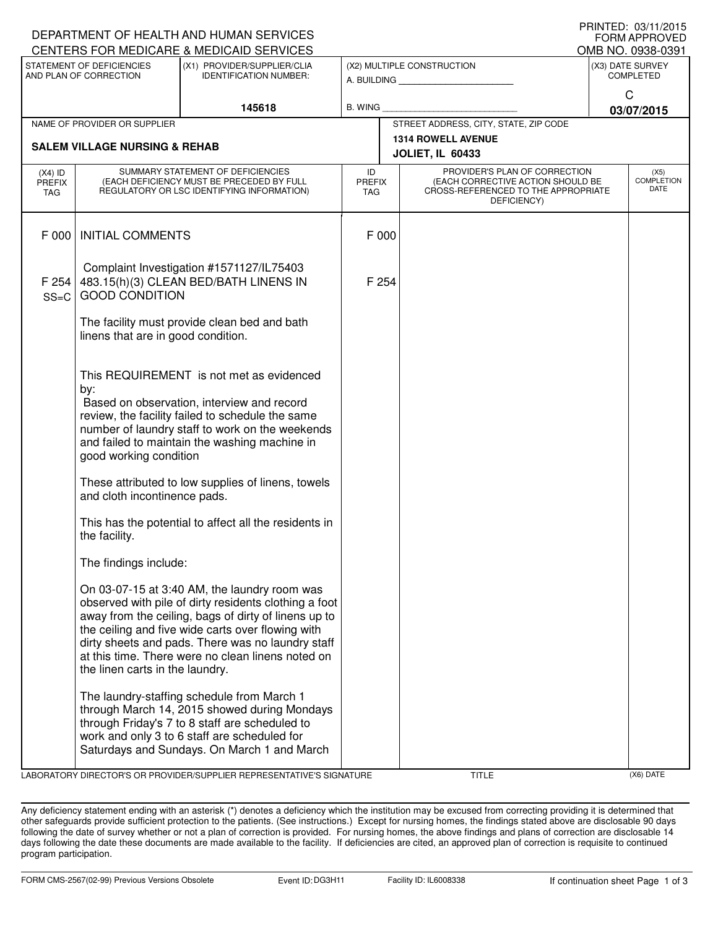| <u>IIIIIIILU. VU/II/LUIJ</u><br>DEPARTMENT OF HEALTH AND HUMAN SERVICES<br><b>FORM APPROVED</b> |                                                                                                                                                                                                                                                                                                                                                                                                                                                                                     |                                                                                                                                                                                                                                                                                                                              |                                                      |  |                                                                                                                          |                                      |                   |  |
|-------------------------------------------------------------------------------------------------|-------------------------------------------------------------------------------------------------------------------------------------------------------------------------------------------------------------------------------------------------------------------------------------------------------------------------------------------------------------------------------------------------------------------------------------------------------------------------------------|------------------------------------------------------------------------------------------------------------------------------------------------------------------------------------------------------------------------------------------------------------------------------------------------------------------------------|------------------------------------------------------|--|--------------------------------------------------------------------------------------------------------------------------|--------------------------------------|-------------------|--|
|                                                                                                 |                                                                                                                                                                                                                                                                                                                                                                                                                                                                                     | CENTERS FOR MEDICARE & MEDICAID SERVICES                                                                                                                                                                                                                                                                                     |                                                      |  |                                                                                                                          |                                      | OMB NO. 0938-0391 |  |
| STATEMENT OF DEFICIENCIES<br>AND PLAN OF CORRECTION                                             |                                                                                                                                                                                                                                                                                                                                                                                                                                                                                     | (X1) PROVIDER/SUPPLIER/CLIA<br><b>IDENTIFICATION NUMBER:</b>                                                                                                                                                                                                                                                                 | (X2) MULTIPLE CONSTRUCTION<br>A. BUILDING            |  |                                                                                                                          | (X3) DATE SURVEY<br><b>COMPLETED</b> |                   |  |
|                                                                                                 |                                                                                                                                                                                                                                                                                                                                                                                                                                                                                     | 145618                                                                                                                                                                                                                                                                                                                       | <b>B. WING</b>                                       |  |                                                                                                                          | $\mathsf{C}$<br>03/07/2015           |                   |  |
|                                                                                                 | NAME OF PROVIDER OR SUPPLIER                                                                                                                                                                                                                                                                                                                                                                                                                                                        |                                                                                                                                                                                                                                                                                                                              | STREET ADDRESS, CITY, STATE, ZIP CODE                |  |                                                                                                                          |                                      |                   |  |
| <b>SALEM VILLAGE NURSING &amp; REHAB</b>                                                        |                                                                                                                                                                                                                                                                                                                                                                                                                                                                                     |                                                                                                                                                                                                                                                                                                                              | <b>1314 ROWELL AVENUE</b><br><b>JOLIET, IL 60433</b> |  |                                                                                                                          |                                      |                   |  |
| $(X4)$ ID<br><b>PREFIX</b><br><b>TAG</b>                                                        | SUMMARY STATEMENT OF DEFICIENCIES<br>(EACH DEFICIENCY MUST BE PRECEDED BY FULL<br>REGULATORY OR LSC IDENTIFYING INFORMATION)                                                                                                                                                                                                                                                                                                                                                        |                                                                                                                                                                                                                                                                                                                              | ID<br><b>PREFIX</b><br><b>TAG</b>                    |  | PROVIDER'S PLAN OF CORRECTION<br>(EACH CORRECTIVE ACTION SHOULD BE<br>CROSS-REFERENCED TO THE APPROPRIATE<br>DEFICIENCY) | (X5)<br><b>COMPLETION</b><br>DATE    |                   |  |
| F 000                                                                                           | <b>INITIAL COMMENTS</b>                                                                                                                                                                                                                                                                                                                                                                                                                                                             |                                                                                                                                                                                                                                                                                                                              | F 000                                                |  |                                                                                                                          |                                      |                   |  |
| F 254<br>$SS=C$                                                                                 | Complaint Investigation #1571127/IL75403<br>483.15(h)(3) CLEAN BED/BATH LINENS IN<br><b>GOOD CONDITION</b><br>The facility must provide clean bed and bath<br>linens that are in good condition.<br>This REQUIREMENT is not met as evidenced<br>by:<br>Based on observation, interview and record<br>review, the facility failed to schedule the same<br>number of laundry staff to work on the weekends<br>and failed to maintain the washing machine in<br>good working condition |                                                                                                                                                                                                                                                                                                                              | F 254                                                |  |                                                                                                                          |                                      |                   |  |
|                                                                                                 |                                                                                                                                                                                                                                                                                                                                                                                                                                                                                     |                                                                                                                                                                                                                                                                                                                              |                                                      |  |                                                                                                                          |                                      |                   |  |
|                                                                                                 |                                                                                                                                                                                                                                                                                                                                                                                                                                                                                     |                                                                                                                                                                                                                                                                                                                              |                                                      |  |                                                                                                                          |                                      |                   |  |
|                                                                                                 | These attributed to low supplies of linens, towels<br>and cloth incontinence pads.                                                                                                                                                                                                                                                                                                                                                                                                  |                                                                                                                                                                                                                                                                                                                              |                                                      |  |                                                                                                                          |                                      |                   |  |
|                                                                                                 | the facility.                                                                                                                                                                                                                                                                                                                                                                                                                                                                       | This has the potential to affect all the residents in                                                                                                                                                                                                                                                                        |                                                      |  |                                                                                                                          |                                      |                   |  |
|                                                                                                 | The findings include:                                                                                                                                                                                                                                                                                                                                                                                                                                                               |                                                                                                                                                                                                                                                                                                                              |                                                      |  |                                                                                                                          |                                      |                   |  |
|                                                                                                 | the linen carts in the laundry.                                                                                                                                                                                                                                                                                                                                                                                                                                                     | On 03-07-15 at 3:40 AM, the laundry room was<br>observed with pile of dirty residents clothing a foot<br>away from the ceiling, bags of dirty of linens up to<br>the ceiling and five wide carts over flowing with<br>dirty sheets and pads. There was no laundry staff<br>at this time. There were no clean linens noted on |                                                      |  |                                                                                                                          |                                      |                   |  |
|                                                                                                 |                                                                                                                                                                                                                                                                                                                                                                                                                                                                                     | The laundry-staffing schedule from March 1<br>through March 14, 2015 showed during Mondays<br>through Friday's 7 to 8 staff are scheduled to<br>work and only 3 to 6 staff are scheduled for<br>Saturdays and Sundays. On March 1 and March                                                                                  |                                                      |  |                                                                                                                          |                                      |                   |  |

LABORATORY DIRECTOR'S OR PROVIDER/SUPPLIER REPRESENTATIVE'S SIGNATURE TITLE (X6) DATE

PRINTED: 03/11/2015

Any deficiency statement ending with an asterisk (\*) denotes a deficiency which the institution may be excused from correcting providing it is determined that other safeguards provide sufficient protection to the patients. (See instructions.) Except for nursing homes, the findings stated above are disclosable 90 days following the date of survey whether or not a plan of correction is provided. For nursing homes, the above findings and plans of correction are disclosable 14 days following the date these documents are made available to the facility. If deficiencies are cited, an approved plan of correction is requisite to continued program participation.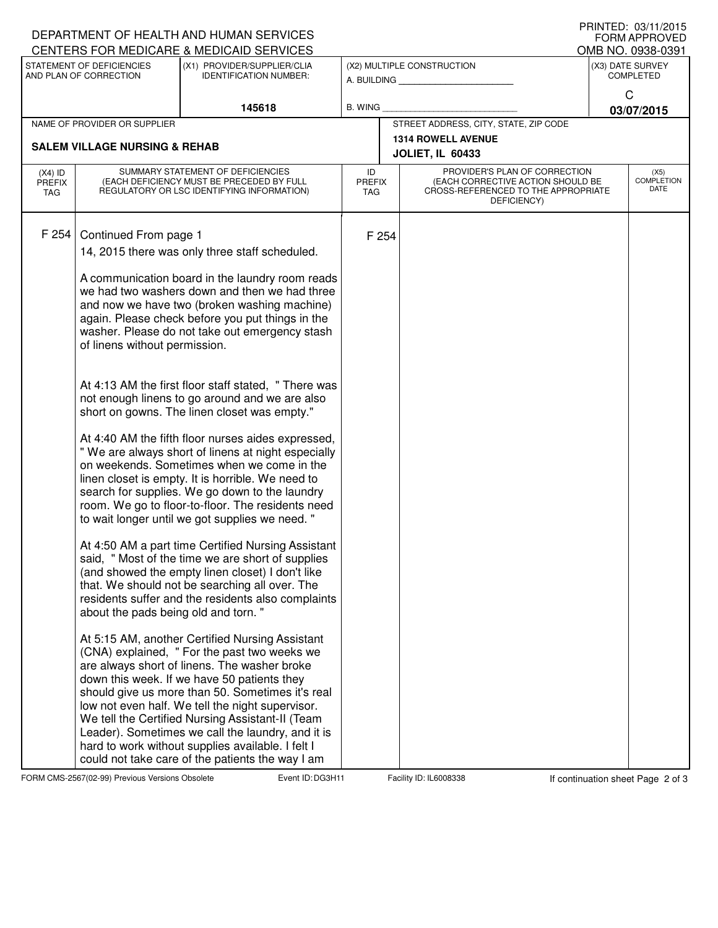|                                                     |                                                                                                                                                                                                                                                                                                                                                                                                                                                                                                                                                                                                                                                                                                                                                                                                                                                                                                                                                                                                                                                                                                                                                                                                                                                                                                                                                                                                                                                                                                                                                                                                                                                                                   | DEPARTMENT OF HEALTH AND HUMAN SERVICES<br>CENTERS FOR MEDICARE & MEDICAID SERVICES                   |                                           |                                                      |                                                                                                                          |                                      | FNINTED. VJ/TI/ZUTJ<br><b>FORM APPROVED</b><br>OMB NO. 0938-0391 |  |
|-----------------------------------------------------|-----------------------------------------------------------------------------------------------------------------------------------------------------------------------------------------------------------------------------------------------------------------------------------------------------------------------------------------------------------------------------------------------------------------------------------------------------------------------------------------------------------------------------------------------------------------------------------------------------------------------------------------------------------------------------------------------------------------------------------------------------------------------------------------------------------------------------------------------------------------------------------------------------------------------------------------------------------------------------------------------------------------------------------------------------------------------------------------------------------------------------------------------------------------------------------------------------------------------------------------------------------------------------------------------------------------------------------------------------------------------------------------------------------------------------------------------------------------------------------------------------------------------------------------------------------------------------------------------------------------------------------------------------------------------------------|-------------------------------------------------------------------------------------------------------|-------------------------------------------|------------------------------------------------------|--------------------------------------------------------------------------------------------------------------------------|--------------------------------------|------------------------------------------------------------------|--|
| STATEMENT OF DEFICIENCIES<br>AND PLAN OF CORRECTION |                                                                                                                                                                                                                                                                                                                                                                                                                                                                                                                                                                                                                                                                                                                                                                                                                                                                                                                                                                                                                                                                                                                                                                                                                                                                                                                                                                                                                                                                                                                                                                                                                                                                                   | (X1) PROVIDER/SUPPLIER/CLIA<br><b>IDENTIFICATION NUMBER:</b>                                          | (X2) MULTIPLE CONSTRUCTION<br>A. BUILDING |                                                      |                                                                                                                          | (X3) DATE SURVEY<br><b>COMPLETED</b> |                                                                  |  |
|                                                     |                                                                                                                                                                                                                                                                                                                                                                                                                                                                                                                                                                                                                                                                                                                                                                                                                                                                                                                                                                                                                                                                                                                                                                                                                                                                                                                                                                                                                                                                                                                                                                                                                                                                                   | 145618                                                                                                | <b>B. WING</b>                            |                                                      |                                                                                                                          | C<br>03/07/2015                      |                                                                  |  |
| NAME OF PROVIDER OR SUPPLIER                        |                                                                                                                                                                                                                                                                                                                                                                                                                                                                                                                                                                                                                                                                                                                                                                                                                                                                                                                                                                                                                                                                                                                                                                                                                                                                                                                                                                                                                                                                                                                                                                                                                                                                                   |                                                                                                       | STREET ADDRESS, CITY, STATE, ZIP CODE     |                                                      |                                                                                                                          |                                      |                                                                  |  |
|                                                     |                                                                                                                                                                                                                                                                                                                                                                                                                                                                                                                                                                                                                                                                                                                                                                                                                                                                                                                                                                                                                                                                                                                                                                                                                                                                                                                                                                                                                                                                                                                                                                                                                                                                                   |                                                                                                       |                                           | <b>1314 ROWELL AVENUE</b><br><b>JOLIET, IL 60433</b> |                                                                                                                          |                                      |                                                                  |  |
| $(X4)$ ID<br><b>PREFIX</b><br>TAG                   | SUMMARY STATEMENT OF DEFICIENCIES<br>(EACH DEFICIENCY MUST BE PRECEDED BY FULL<br>REGULATORY OR LSC IDENTIFYING INFORMATION)                                                                                                                                                                                                                                                                                                                                                                                                                                                                                                                                                                                                                                                                                                                                                                                                                                                                                                                                                                                                                                                                                                                                                                                                                                                                                                                                                                                                                                                                                                                                                      |                                                                                                       | ID<br><b>PREFIX</b><br>TAG                |                                                      | PROVIDER'S PLAN OF CORRECTION<br>(EACH CORRECTIVE ACTION SHOULD BE<br>CROSS-REFERENCED TO THE APPROPRIATE<br>DEFICIENCY) | (X5)<br><b>COMPLETION</b><br>DATE    |                                                                  |  |
| F 254                                               | <b>SALEM VILLAGE NURSING &amp; REHAB</b><br>Continued From page 1<br>14, 2015 there was only three staff scheduled.<br>A communication board in the laundry room reads<br>we had two washers down and then we had three<br>and now we have two (broken washing machine)<br>again. Please check before you put things in the<br>washer. Please do not take out emergency stash<br>of linens without permission.<br>At 4:13 AM the first floor staff stated, "There was<br>not enough linens to go around and we are also<br>short on gowns. The linen closet was empty."<br>At 4:40 AM the fifth floor nurses aides expressed,<br>" We are always short of linens at night especially<br>on weekends. Sometimes when we come in the<br>linen closet is empty. It is horrible. We need to<br>search for supplies. We go down to the laundry<br>room. We go to floor-to-floor. The residents need<br>to wait longer until we got supplies we need. "<br>At 4:50 AM a part time Certified Nursing Assistant<br>said, "Most of the time we are short of supplies<br>(and showed the empty linen closet) I don't like<br>that. We should not be searching all over. The<br>residents suffer and the residents also complaints<br>about the pads being old and torn."<br>At 5:15 AM, another Certified Nursing Assistant<br>(CNA) explained, " For the past two weeks we<br>are always short of linens. The washer broke<br>down this week. If we have 50 patients they<br>should give us more than 50. Sometimes it's real<br>low not even half. We tell the night supervisor.<br>We tell the Certified Nursing Assistant-II (Team<br>Leader). Sometimes we call the laundry, and it is |                                                                                                       |                                           | F 254                                                |                                                                                                                          |                                      |                                                                  |  |
|                                                     |                                                                                                                                                                                                                                                                                                                                                                                                                                                                                                                                                                                                                                                                                                                                                                                                                                                                                                                                                                                                                                                                                                                                                                                                                                                                                                                                                                                                                                                                                                                                                                                                                                                                                   | hard to work without supplies available. I felt I<br>could not take care of the patients the way I am |                                           |                                                      |                                                                                                                          |                                      |                                                                  |  |

FORM CMS-2567(02-99) Previous Versions Obsolete **DEXELLED**: DG3H11 Facility ID: IL6008338 If continuation sheet Page 2 of 3

PRINTED: 03/11/2015